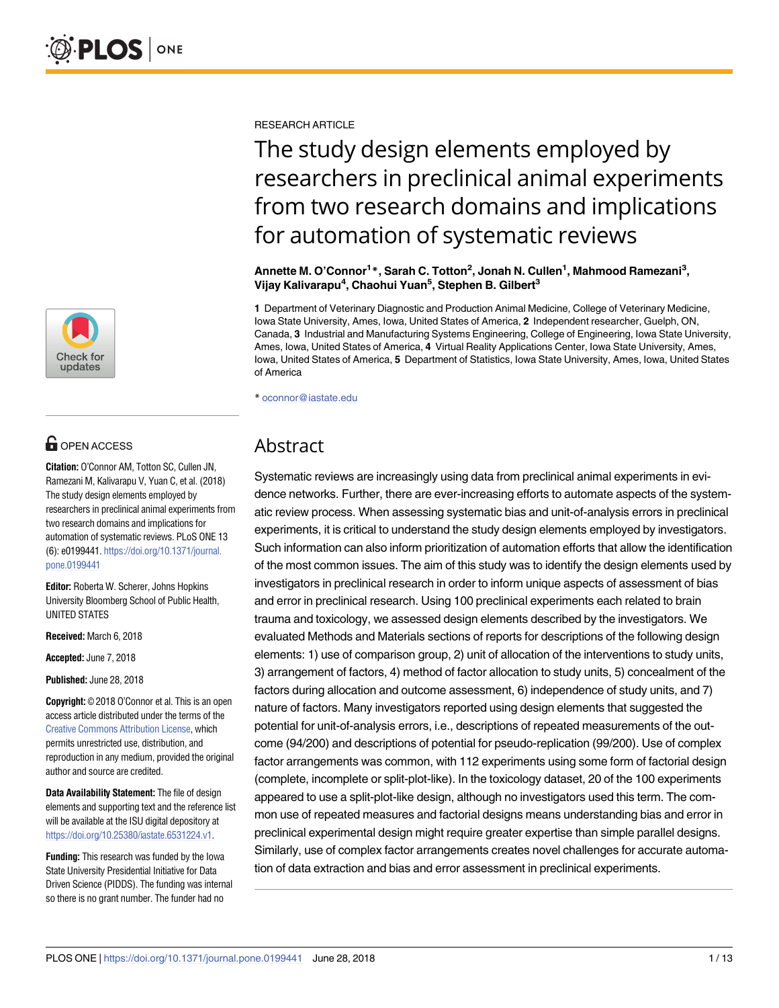

## **OPEN ACCESS**

**Citation:** O'Connor AM, Totton SC, Cullen JN, Ramezani M, Kalivarapu V, Yuan C, et al. (2018) The study design elements employed by researchers in preclinical animal experiments from two research domains and implications for automation of systematic reviews. PLoS ONE 13 (6): e0199441. [https://doi.org/10.1371/journal.](https://doi.org/10.1371/journal.pone.0199441) [pone.0199441](https://doi.org/10.1371/journal.pone.0199441)

**Editor:** Roberta W. Scherer, Johns Hopkins University Bloomberg School of Public Health, UNITED STATES

**Received:** March 6, 2018

**Accepted:** June 7, 2018

**Published:** June 28, 2018

**Copyright:** © 2018 O'Connor et al. This is an open access article distributed under the terms of the Creative Commons [Attribution](http://creativecommons.org/licenses/by/4.0/) License, which permits unrestricted use, distribution, and reproduction in any medium, provided the original author and source are credited.

**Data Availability Statement:** The file of design elements and supporting text and the reference list will be available at the ISU digital depository at [https://doi.org/10.25380/iastate.6531224.v1.](https://doi.org/10.25380/iastate.6531224.v1)

**Funding:** This research was funded by the Iowa State University Presidential Initiative for Data Driven Science (PIDDS). The funding was internal so there is no grant number. The funder had no

RESEARCH ARTICLE

# The study design elements employed by researchers in preclinical animal experiments from two research domains and implications for automation of systematic reviews

**Annette M. O'Connor1 \*, Sarah C. Totton2 , Jonah N. Cullen1 , Mahmood Ramezani3 , Vijay Kalivarapu4 , Chaohui Yuan5 , Stephen B. Gilbert3**

**1** Department of Veterinary Diagnostic and Production Animal Medicine, College of Veterinary Medicine, Iowa State University, Ames, Iowa, United States of America, **2** Independent researcher, Guelph, ON, Canada, **3** Industrial and Manufacturing Systems Engineering, College of Engineering, Iowa State University, Ames, Iowa, United States of America, **4** Virtual Reality Applications Center, Iowa State University, Ames, Iowa, United States of America, **5** Department of Statistics, Iowa State University, Ames, Iowa, United States of America

\* oconnor@iastate.edu

## Abstract

Systematic reviews are increasingly using data from preclinical animal experiments in evidence networks. Further, there are ever-increasing efforts to automate aspects of the systematic review process. When assessing systematic bias and unit-of-analysis errors in preclinical experiments, it is critical to understand the study design elements employed by investigators. Such information can also inform prioritization of automation efforts that allow the identification of the most common issues. The aim of this study was to identify the design elements used by investigators in preclinical research in order to inform unique aspects of assessment of bias and error in preclinical research. Using 100 preclinical experiments each related to brain trauma and toxicology, we assessed design elements described by the investigators. We evaluated Methods and Materials sections of reports for descriptions of the following design elements: 1) use of comparison group, 2) unit of allocation of the interventions to study units, 3) arrangement of factors, 4) method of factor allocation to study units, 5) concealment of the factors during allocation and outcome assessment, 6) independence of study units, and 7) nature of factors. Many investigators reported using design elements that suggested the potential for unit-of-analysis errors, i.e., descriptions of repeated measurements of the outcome (94/200) and descriptions of potential for pseudo-replication (99/200). Use of complex factor arrangements was common, with 112 experiments using some form of factorial design (complete, incomplete or split-plot-like). In the toxicology dataset, 20 of the 100 experiments appeared to use a split-plot-like design, although no investigators used this term. The common use of repeated measures and factorial designs means understanding bias and error in preclinical experimental design might require greater expertise than simple parallel designs. Similarly, use of complex factor arrangements creates novel challenges for accurate automation of data extraction and bias and error assessment in preclinical experiments.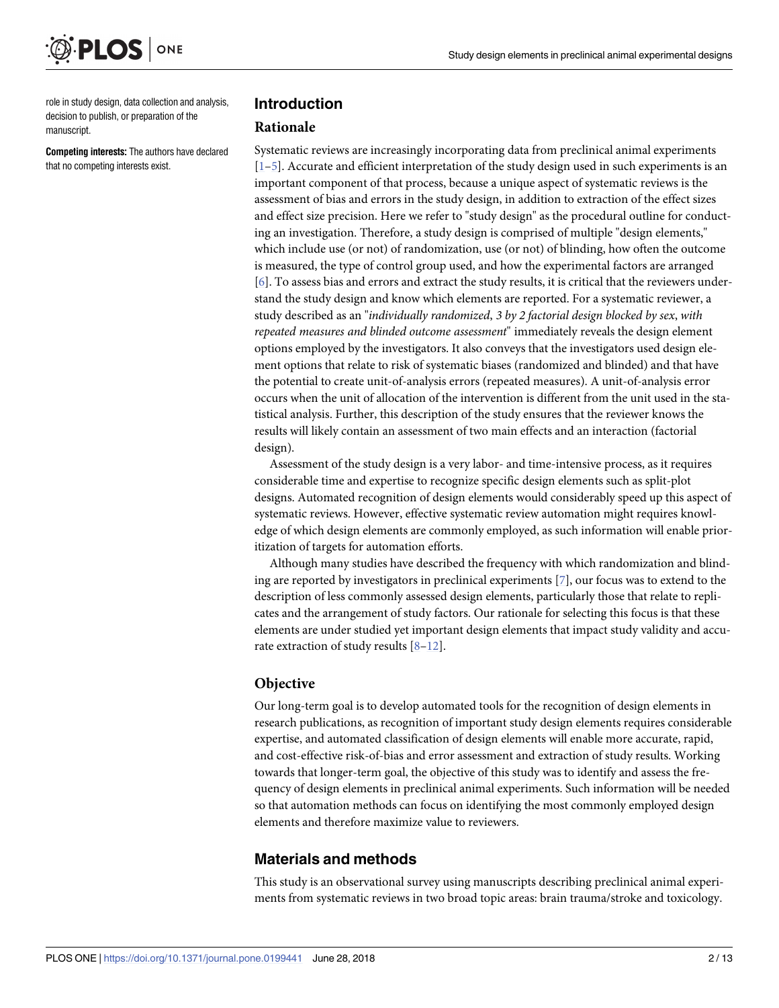<span id="page-1-0"></span>role in study design, data collection and analysis, decision to publish, or preparation of the manuscript.

ONE

**Competing interests:** The authors have declared that no competing interests exist.

## **Introduction**

#### **Rationale**

Systematic reviews are increasingly incorporating data from preclinical animal experiments  $[1–5]$  $[1–5]$  $[1–5]$ . Accurate and efficient interpretation of the study design used in such experiments is an important component of that process, because a unique aspect of systematic reviews is the assessment of bias and errors in the study design, in addition to extraction of the effect sizes and effect size precision. Here we refer to "study design" as the procedural outline for conducting an investigation. Therefore, a study design is comprised of multiple "design elements," which include use (or not) of randomization, use (or not) of blinding, how often the outcome is measured, the type of control group used, and how the experimental factors are arranged [\[6](#page-11-0)]. To assess bias and errors and extract the study results, it is critical that the reviewers understand the study design and know which elements are reported. For a systematic reviewer, a study described as an "*individually randomized*, *3 by 2 factorial design blocked by sex*, *with repeated measures and blinded outcome assessment*" immediately reveals the design element options employed by the investigators. It also conveys that the investigators used design element options that relate to risk of systematic biases (randomized and blinded) and that have the potential to create unit-of-analysis errors (repeated measures). A unit-of-analysis error occurs when the unit of allocation of the intervention is different from the unit used in the statistical analysis. Further, this description of the study ensures that the reviewer knows the results will likely contain an assessment of two main effects and an interaction (factorial design).

Assessment of the study design is a very labor- and time-intensive process, as it requires considerable time and expertise to recognize specific design elements such as split-plot designs. Automated recognition of design elements would considerably speed up this aspect of systematic reviews. However, effective systematic review automation might requires knowledge of which design elements are commonly employed, as such information will enable prioritization of targets for automation efforts.

Although many studies have described the frequency with which randomization and blinding are reported by investigators in preclinical experiments [[7](#page-11-0)], our focus was to extend to the description of less commonly assessed design elements, particularly those that relate to replicates and the arrangement of study factors. Our rationale for selecting this focus is that these elements are under studied yet important design elements that impact study validity and accurate extraction of study results [[8](#page-11-0)–[12\]](#page-11-0).

## **Objective**

Our long-term goal is to develop automated tools for the recognition of design elements in research publications, as recognition of important study design elements requires considerable expertise, and automated classification of design elements will enable more accurate, rapid, and cost-effective risk-of-bias and error assessment and extraction of study results. Working towards that longer-term goal, the objective of this study was to identify and assess the frequency of design elements in preclinical animal experiments. Such information will be needed so that automation methods can focus on identifying the most commonly employed design elements and therefore maximize value to reviewers.

## **Materials and methods**

This study is an observational survey using manuscripts describing preclinical animal experiments from systematic reviews in two broad topic areas: brain trauma/stroke and toxicology.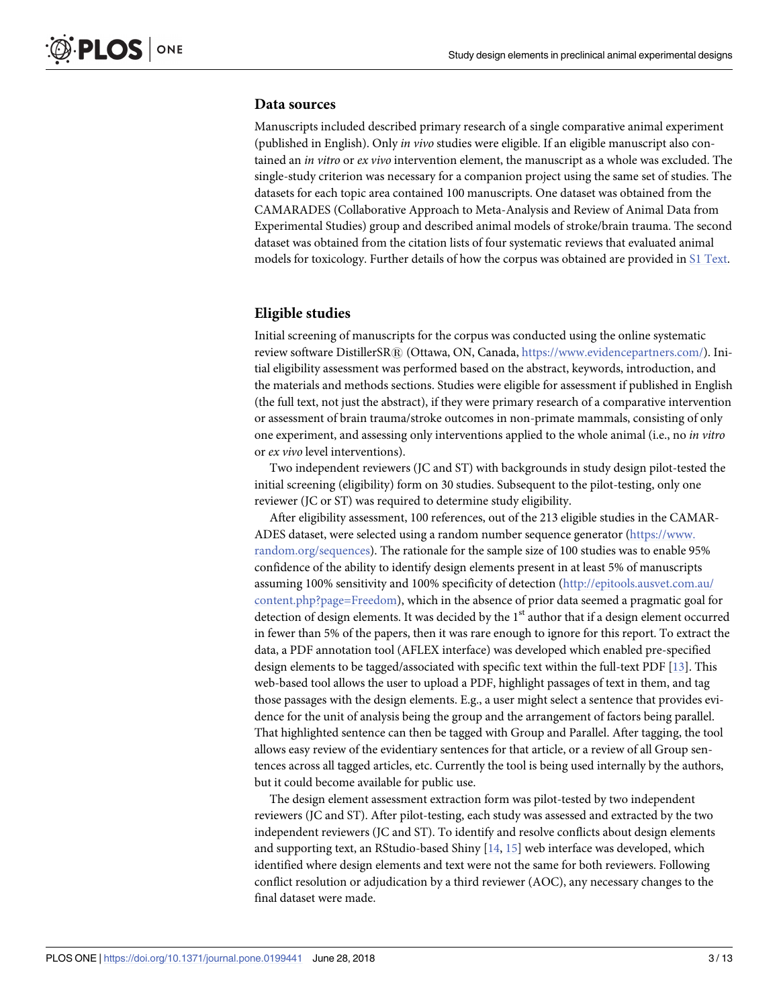## <span id="page-2-0"></span>**Data sources**

Manuscripts included described primary research of a single comparative animal experiment (published in English). Only *in vivo* studies were eligible. If an eligible manuscript also contained an *in vitro* or *ex vivo* intervention element, the manuscript as a whole was excluded. The single-study criterion was necessary for a companion project using the same set of studies. The datasets for each topic area contained 100 manuscripts. One dataset was obtained from the CAMARADES (Collaborative Approach to Meta-Analysis and Review of Animal Data from Experimental Studies) group and described animal models of stroke/brain trauma. The second dataset was obtained from the citation lists of four systematic reviews that evaluated animal models for toxicology. Further details of how the corpus was obtained are provided in S1 [Text.](#page-10-0)

## **Eligible studies**

Initial screening of manuscripts for the corpus was conducted using the online systematic review software DistillerSR® (Ottawa, ON, Canada, <https://www.evidencepartners.com/>). Initial eligibility assessment was performed based on the abstract, keywords, introduction, and the materials and methods sections. Studies were eligible for assessment if published in English (the full text, not just the abstract), if they were primary research of a comparative intervention or assessment of brain trauma/stroke outcomes in non-primate mammals, consisting of only one experiment, and assessing only interventions applied to the whole animal (i.e., no *in vitro* or *ex vivo* level interventions).

Two independent reviewers (JC and ST) with backgrounds in study design pilot-tested the initial screening (eligibility) form on 30 studies. Subsequent to the pilot-testing, only one reviewer (JC or ST) was required to determine study eligibility.

After eligibility assessment, 100 references, out of the 213 eligible studies in the CAMAR-ADES dataset, were selected using a random number sequence generator [\(https://www.](https://www.random.org/sequences) [random.org/sequences\)](https://www.random.org/sequences). The rationale for the sample size of 100 studies was to enable 95% confidence of the ability to identify design elements present in at least 5% of manuscripts assuming 100% sensitivity and 100% specificity of detection ([http://epitools.ausvet.com.au/](http://epitools.ausvet.com.au/content.php?page=Freedom) [content.php?page=Freedom](http://epitools.ausvet.com.au/content.php?page=Freedom)), which in the absence of prior data seemed a pragmatic goal for detection of design elements. It was decided by the  $1<sup>st</sup>$  author that if a design element occurred in fewer than 5% of the papers, then it was rare enough to ignore for this report. To extract the data, a PDF annotation tool (AFLEX interface) was developed which enabled pre-specified design elements to be tagged/associated with specific text within the full-text PDF [[13](#page-11-0)]. This web-based tool allows the user to upload a PDF, highlight passages of text in them, and tag those passages with the design elements. E.g., a user might select a sentence that provides evidence for the unit of analysis being the group and the arrangement of factors being parallel. That highlighted sentence can then be tagged with Group and Parallel. After tagging, the tool allows easy review of the evidentiary sentences for that article, or a review of all Group sentences across all tagged articles, etc. Currently the tool is being used internally by the authors, but it could become available for public use.

The design element assessment extraction form was pilot-tested by two independent reviewers (JC and ST). After pilot-testing, each study was assessed and extracted by the two independent reviewers (JC and ST). To identify and resolve conflicts about design elements and supporting text, an RStudio-based Shiny [\[14,](#page-11-0) [15\]](#page-11-0) web interface was developed, which identified where design elements and text were not the same for both reviewers. Following conflict resolution or adjudication by a third reviewer (AOC), any necessary changes to the final dataset were made.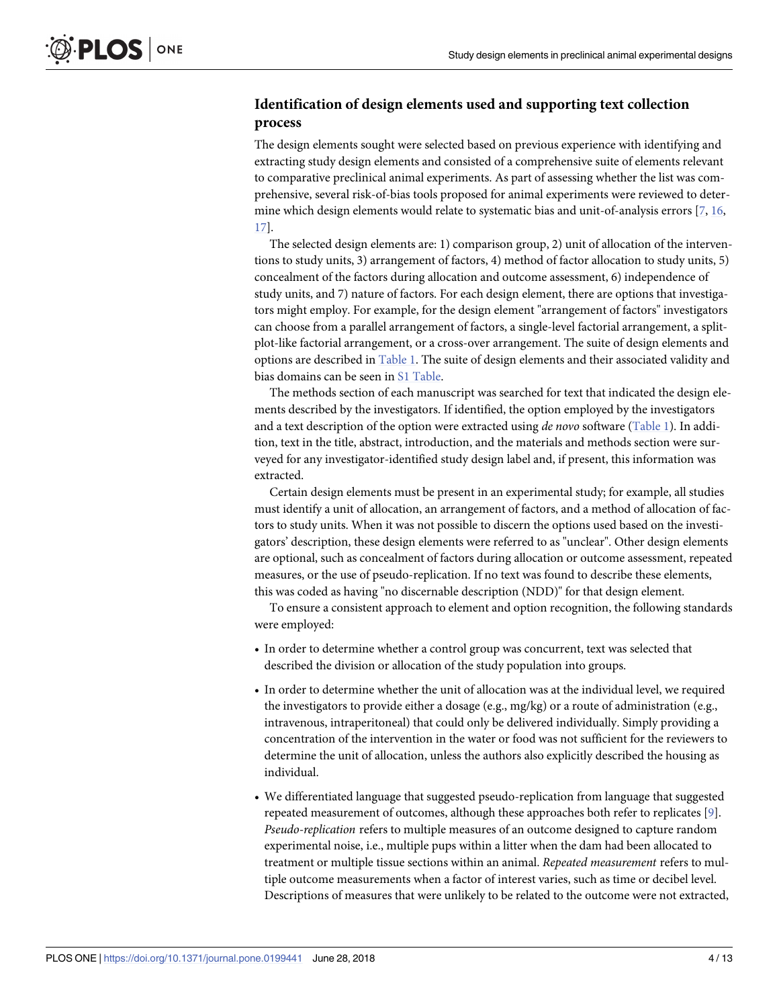## <span id="page-3-0"></span>**Identification of design elements used and supporting text collection process**

The design elements sought were selected based on previous experience with identifying and extracting study design elements and consisted of a comprehensive suite of elements relevant to comparative preclinical animal experiments. As part of assessing whether the list was comprehensive, several risk-of-bias tools proposed for animal experiments were reviewed to determine which design elements would relate to systematic bias and unit-of-analysis errors [[7](#page-11-0), [16](#page-11-0), [17\]](#page-11-0).

The selected design elements are: 1) comparison group, 2) unit of allocation of the interventions to study units, 3) arrangement of factors, 4) method of factor allocation to study units, 5) concealment of the factors during allocation and outcome assessment, 6) independence of study units, and 7) nature of factors. For each design element, there are options that investigators might employ. For example, for the design element "arrangement of factors" investigators can choose from a parallel arrangement of factors, a single-level factorial arrangement, a splitplot-like factorial arrangement, or a cross-over arrangement. The suite of design elements and options are described in [Table](#page-4-0) 1. The suite of design elements and their associated validity and bias domains can be seen in S1 [Table.](#page-10-0)

The methods section of each manuscript was searched for text that indicated the design elements described by the investigators. If identified, the option employed by the investigators and a text description of the option were extracted using *de novo* software [\(Table](#page-4-0) 1). In addition, text in the title, abstract, introduction, and the materials and methods section were surveyed for any investigator-identified study design label and, if present, this information was extracted.

Certain design elements must be present in an experimental study; for example, all studies must identify a unit of allocation, an arrangement of factors, and a method of allocation of factors to study units. When it was not possible to discern the options used based on the investigators' description, these design elements were referred to as "unclear". Other design elements are optional, such as concealment of factors during allocation or outcome assessment, repeated measures, or the use of pseudo-replication. If no text was found to describe these elements, this was coded as having "no discernable description (NDD)" for that design element.

To ensure a consistent approach to element and option recognition, the following standards were employed:

- In order to determine whether a control group was concurrent, text was selected that described the division or allocation of the study population into groups.
- In order to determine whether the unit of allocation was at the individual level, we required the investigators to provide either a dosage (e.g., mg/kg) or a route of administration (e.g., intravenous, intraperitoneal) that could only be delivered individually. Simply providing a concentration of the intervention in the water or food was not sufficient for the reviewers to determine the unit of allocation, unless the authors also explicitly described the housing as individual.
- We differentiated language that suggested pseudo-replication from language that suggested repeated measurement of outcomes, although these approaches both refer to replicates [[9](#page-11-0)]. *Pseudo-replication* refers to multiple measures of an outcome designed to capture random experimental noise, i.e., multiple pups within a litter when the dam had been allocated to treatment or multiple tissue sections within an animal. *Repeated measurement* refers to multiple outcome measurements when a factor of interest varies, such as time or decibel level. Descriptions of measures that were unlikely to be related to the outcome were not extracted,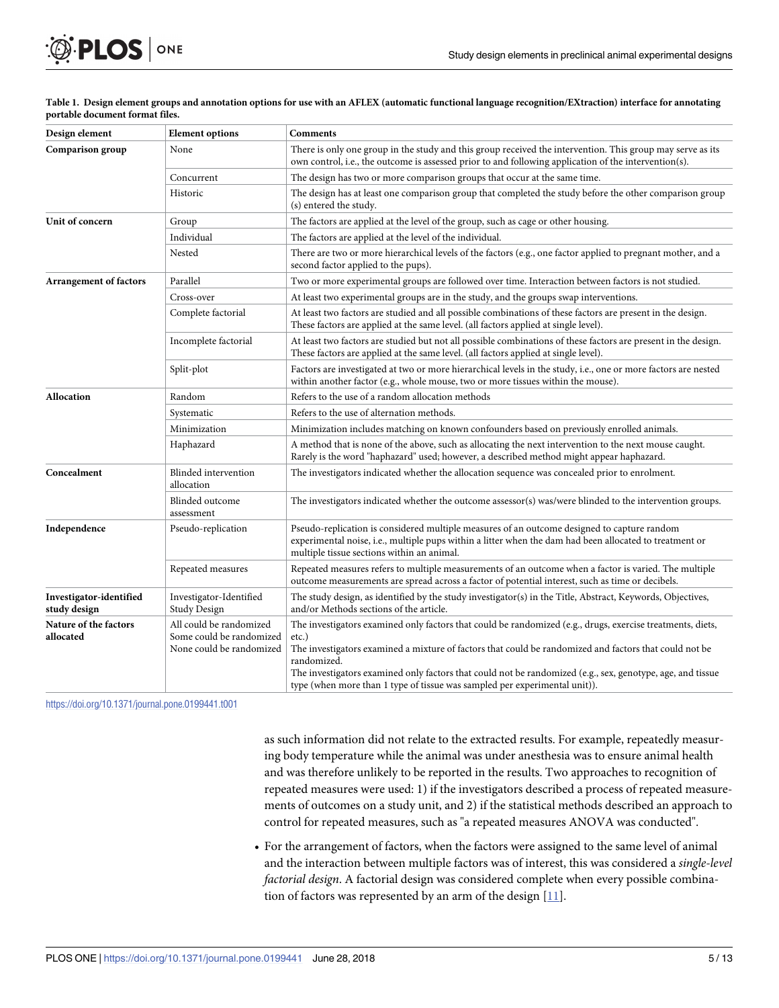#### [Table](#page-3-0) 1. Design element groups and annotation options for use with an AFLEX (automatic functional language recognition/EXtraction) interface for annotating **portable document format files.**

| Design element                          | <b>Element</b> options                                                          | <b>Comments</b>                                                                                                                                                                                                                                                                                                                                                                                                                             |  |
|-----------------------------------------|---------------------------------------------------------------------------------|---------------------------------------------------------------------------------------------------------------------------------------------------------------------------------------------------------------------------------------------------------------------------------------------------------------------------------------------------------------------------------------------------------------------------------------------|--|
| Comparison group                        | None                                                                            | There is only one group in the study and this group received the intervention. This group may serve as its<br>own control, i.e., the outcome is assessed prior to and following application of the intervention(s).                                                                                                                                                                                                                         |  |
|                                         | Concurrent                                                                      | The design has two or more comparison groups that occur at the same time.                                                                                                                                                                                                                                                                                                                                                                   |  |
|                                         | Historic                                                                        | The design has at least one comparison group that completed the study before the other comparison group<br>(s) entered the study.                                                                                                                                                                                                                                                                                                           |  |
| Unit of concern                         | Group                                                                           | The factors are applied at the level of the group, such as cage or other housing.                                                                                                                                                                                                                                                                                                                                                           |  |
|                                         | Individual                                                                      | The factors are applied at the level of the individual.                                                                                                                                                                                                                                                                                                                                                                                     |  |
|                                         | Nested                                                                          | There are two or more hierarchical levels of the factors (e.g., one factor applied to pregnant mother, and a<br>second factor applied to the pups).                                                                                                                                                                                                                                                                                         |  |
| Arrangement of factors                  | Parallel                                                                        | Two or more experimental groups are followed over time. Interaction between factors is not studied.                                                                                                                                                                                                                                                                                                                                         |  |
|                                         | Cross-over                                                                      | At least two experimental groups are in the study, and the groups swap interventions.                                                                                                                                                                                                                                                                                                                                                       |  |
|                                         | Complete factorial                                                              | At least two factors are studied and all possible combinations of these factors are present in the design.<br>These factors are applied at the same level. (all factors applied at single level).                                                                                                                                                                                                                                           |  |
|                                         | Incomplete factorial                                                            | At least two factors are studied but not all possible combinations of these factors are present in the design.<br>These factors are applied at the same level. (all factors applied at single level).                                                                                                                                                                                                                                       |  |
|                                         | Split-plot                                                                      | Factors are investigated at two or more hierarchical levels in the study, i.e., one or more factors are nested<br>within another factor (e.g., whole mouse, two or more tissues within the mouse).                                                                                                                                                                                                                                          |  |
| <b>Allocation</b>                       | Random                                                                          | Refers to the use of a random allocation methods                                                                                                                                                                                                                                                                                                                                                                                            |  |
|                                         | Systematic                                                                      | Refers to the use of alternation methods.                                                                                                                                                                                                                                                                                                                                                                                                   |  |
|                                         | Minimization                                                                    | Minimization includes matching on known confounders based on previously enrolled animals.                                                                                                                                                                                                                                                                                                                                                   |  |
|                                         | Haphazard                                                                       | A method that is none of the above, such as allocating the next intervention to the next mouse caught.<br>Rarely is the word "haphazard" used; however, a described method might appear haphazard.                                                                                                                                                                                                                                          |  |
| Concealment                             | Blinded intervention<br>allocation                                              | The investigators indicated whether the allocation sequence was concealed prior to enrolment.                                                                                                                                                                                                                                                                                                                                               |  |
|                                         | Blinded outcome<br>assessment                                                   | The investigators indicated whether the outcome assessor(s) was/were blinded to the intervention groups.                                                                                                                                                                                                                                                                                                                                    |  |
| Independence                            | Pseudo-replication                                                              | Pseudo-replication is considered multiple measures of an outcome designed to capture random<br>experimental noise, i.e., multiple pups within a litter when the dam had been allocated to treatment or<br>multiple tissue sections within an animal.                                                                                                                                                                                        |  |
|                                         | Repeated measures                                                               | Repeated measures refers to multiple measurements of an outcome when a factor is varied. The multiple<br>outcome measurements are spread across a factor of potential interest, such as time or decibels.                                                                                                                                                                                                                                   |  |
| Investigator-identified<br>study design | Investigator-Identified<br><b>Study Design</b>                                  | The study design, as identified by the study investigator(s) in the Title, Abstract, Keywords, Objectives,<br>and/or Methods sections of the article.                                                                                                                                                                                                                                                                                       |  |
| Nature of the factors<br>allocated      | All could be randomized<br>Some could be randomized<br>None could be randomized | The investigators examined only factors that could be randomized (e.g., drugs, exercise treatments, diets,<br>$etc.$ )<br>The investigators examined a mixture of factors that could be randomized and factors that could not be<br>randomized.<br>The investigators examined only factors that could not be randomized (e.g., sex, genotype, age, and tissue<br>type (when more than 1 type of tissue was sampled per experimental unit)). |  |

<https://doi.org/10.1371/journal.pone.0199441.t001>

ONE

<span id="page-4-0"></span>PLOS I

as such information did not relate to the extracted results. For example, repeatedly measuring body temperature while the animal was under anesthesia was to ensure animal health and was therefore unlikely to be reported in the results. Two approaches to recognition of repeated measures were used: 1) if the investigators described a process of repeated measurements of outcomes on a study unit, and 2) if the statistical methods described an approach to control for repeated measures, such as "a repeated measures ANOVA was conducted".

• For the arrangement of factors, when the factors were assigned to the same level of animal and the interaction between multiple factors was of interest, this was considered a *single-level factorial design*. A factorial design was considered complete when every possible combination of factors was represented by an arm of the design  $[11]$ .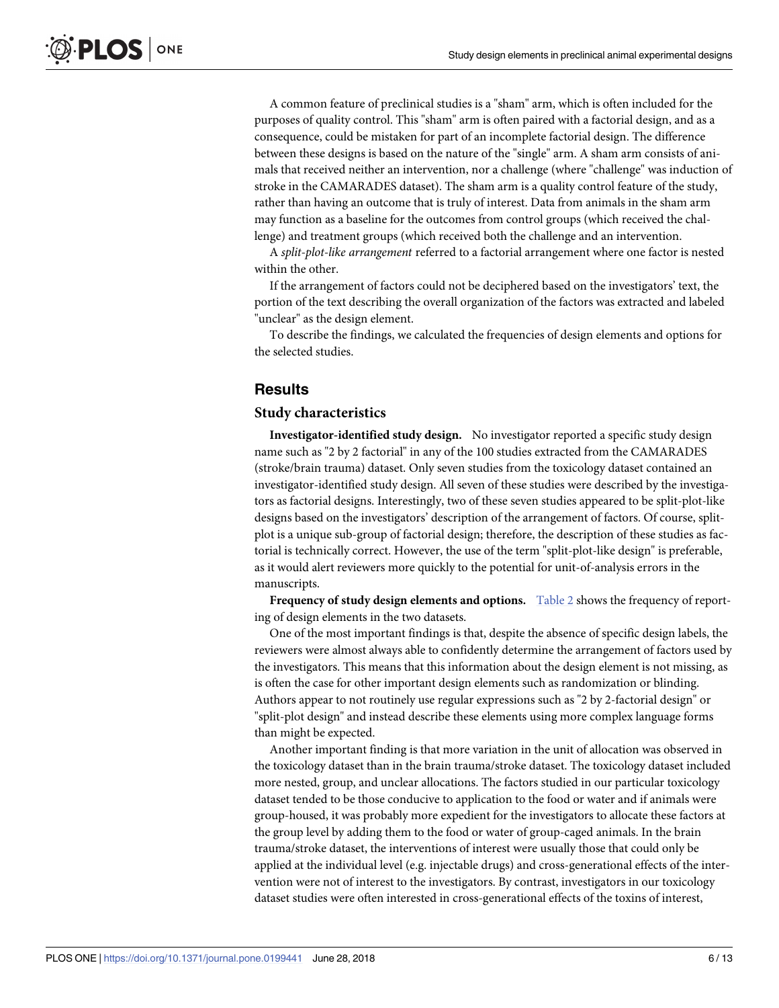<span id="page-5-0"></span>A common feature of preclinical studies is a "sham" arm, which is often included for the purposes of quality control. This "sham" arm is often paired with a factorial design, and as a consequence, could be mistaken for part of an incomplete factorial design. The difference between these designs is based on the nature of the "single" arm. A sham arm consists of animals that received neither an intervention, nor a challenge (where "challenge" was induction of stroke in the CAMARADES dataset). The sham arm is a quality control feature of the study, rather than having an outcome that is truly of interest. Data from animals in the sham arm may function as a baseline for the outcomes from control groups (which received the challenge) and treatment groups (which received both the challenge and an intervention.

A *split-plot-like arrangement* referred to a factorial arrangement where one factor is nested within the other.

If the arrangement of factors could not be deciphered based on the investigators' text, the portion of the text describing the overall organization of the factors was extracted and labeled "unclear" as the design element.

To describe the findings, we calculated the frequencies of design elements and options for the selected studies.

## **Results**

#### **Study characteristics**

**Investigator-identified study design.** No investigator reported a specific study design name such as "2 by 2 factorial" in any of the 100 studies extracted from the CAMARADES (stroke/brain trauma) dataset. Only seven studies from the toxicology dataset contained an investigator-identified study design. All seven of these studies were described by the investigators as factorial designs. Interestingly, two of these seven studies appeared to be split-plot-like designs based on the investigators' description of the arrangement of factors. Of course, splitplot is a unique sub-group of factorial design; therefore, the description of these studies as factorial is technically correct. However, the use of the term "split-plot-like design" is preferable, as it would alert reviewers more quickly to the potential for unit-of-analysis errors in the manuscripts.

**Frequency of study design elements and options.** [Table](#page-6-0) 2 shows the frequency of reporting of design elements in the two datasets.

One of the most important findings is that, despite the absence of specific design labels, the reviewers were almost always able to confidently determine the arrangement of factors used by the investigators. This means that this information about the design element is not missing, as is often the case for other important design elements such as randomization or blinding. Authors appear to not routinely use regular expressions such as "2 by 2-factorial design" or "split-plot design" and instead describe these elements using more complex language forms than might be expected.

Another important finding is that more variation in the unit of allocation was observed in the toxicology dataset than in the brain trauma/stroke dataset. The toxicology dataset included more nested, group, and unclear allocations. The factors studied in our particular toxicology dataset tended to be those conducive to application to the food or water and if animals were group-housed, it was probably more expedient for the investigators to allocate these factors at the group level by adding them to the food or water of group-caged animals. In the brain trauma/stroke dataset, the interventions of interest were usually those that could only be applied at the individual level (e.g. injectable drugs) and cross-generational effects of the intervention were not of interest to the investigators. By contrast, investigators in our toxicology dataset studies were often interested in cross-generational effects of the toxins of interest,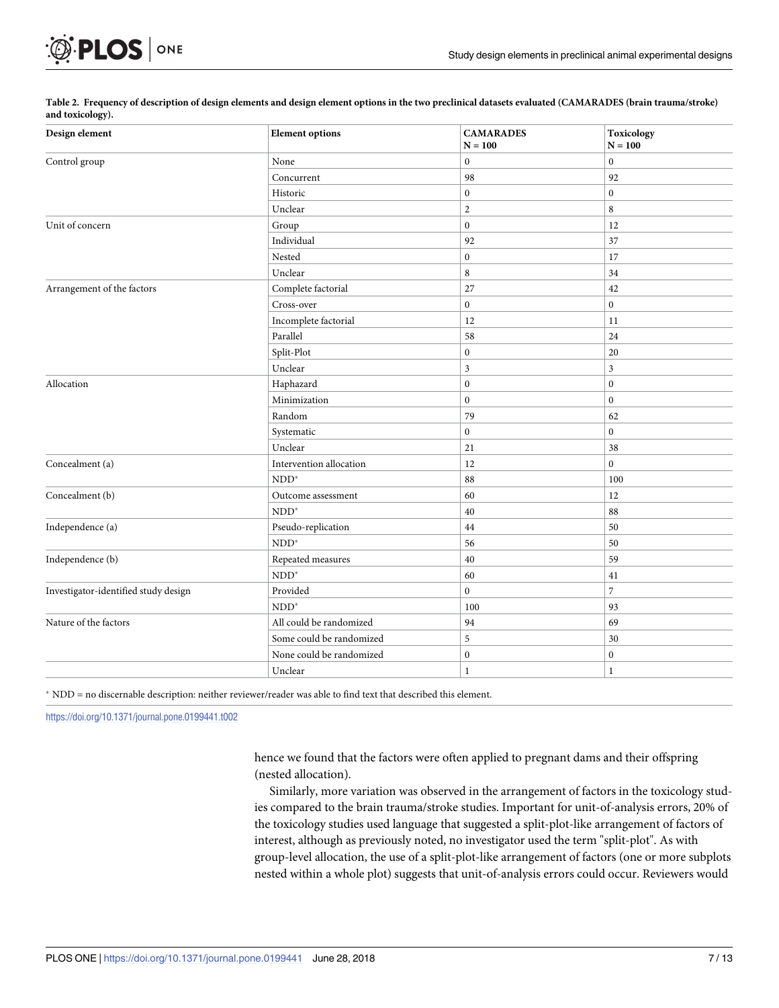#### [Table](#page-5-0) 2. Frequency of description of design elements and design element options in the two preclinical datasets evaluated (CAMARADES (brain trauma/stroke) **and toxicology).**

| Design element                       | <b>Element</b> options   | <b>CAMARADES</b><br>$N = 100$ | <b>Toxicology</b><br>$N = 100$ |
|--------------------------------------|--------------------------|-------------------------------|--------------------------------|
| Control group                        | None                     | $\boldsymbol{0}$              | $\boldsymbol{0}$               |
|                                      | Concurrent               | 98                            | 92                             |
|                                      | Historic                 | $\boldsymbol{0}$              | $\boldsymbol{0}$               |
|                                      | Unclear                  | $\sqrt{2}$                    | $\,8\,$                        |
| Unit of concern                      | Group                    | $\overline{0}$                | 12                             |
|                                      | Individual               | 92                            | 37                             |
|                                      | Nested                   | $\mathbf 0$                   | 17                             |
|                                      | Unclear                  | $\,$ 8 $\,$                   | 34                             |
| Arrangement of the factors           | Complete factorial       | 27                            | 42                             |
|                                      | Cross-over               | $\boldsymbol{0}$              | $\boldsymbol{0}$               |
|                                      | Incomplete factorial     | 12                            | 11                             |
|                                      | Parallel                 | 58                            | 24                             |
|                                      | Split-Plot               | $\boldsymbol{0}$              | 20                             |
|                                      | Unclear                  | $\overline{\mathbf{3}}$       | $\mathfrak{Z}$                 |
| Allocation                           | Haphazard                | $\boldsymbol{0}$              | $\boldsymbol{0}$               |
|                                      | Minimization             | $\boldsymbol{0}$              | $\boldsymbol{0}$               |
|                                      | Random                   | 79                            | 62                             |
|                                      | Systematic               | $\boldsymbol{0}$              | $\mathbf{0}$                   |
|                                      | Unclear                  | 21                            | 38                             |
| Concealment (a)                      | Intervention allocation  | 12                            | $\boldsymbol{0}$               |
|                                      | $NDD^*$                  | 88                            | 100                            |
| Concealment (b)                      | Outcome assessment       | 60                            | 12                             |
|                                      | $NDD^*$                  | 40                            | 88                             |
| Independence (a)                     | Pseudo-replication       | $\bf 44$                      | 50                             |
|                                      | $NDD^*$                  | 56                            | 50                             |
| Independence (b)                     | Repeated measures        | 40                            | 59                             |
|                                      | $NDD^*$                  | 60                            | 41                             |
| Investigator-identified study design | Provided                 | $\boldsymbol{0}$              | $\sqrt{ }$                     |
|                                      | $NDD^*$                  | 100                           | 93                             |
| Nature of the factors                | All could be randomized  | 94                            | 69                             |
|                                      | Some could be randomized | 5                             | 30                             |
|                                      | None could be randomized | $\boldsymbol{0}$              | $\boldsymbol{0}$               |
|                                      | Unclear                  | $\,1$                         | $\,1$                          |
|                                      |                          |                               |                                |

NDD = no discernable description: neither reviewer/reader was able to find text that described this element.

<https://doi.org/10.1371/journal.pone.0199441.t002>

<span id="page-6-0"></span>PLOS ONE

hence we found that the factors were often applied to pregnant dams and their offspring (nested allocation).

Similarly, more variation was observed in the arrangement of factors in the toxicology studies compared to the brain trauma/stroke studies. Important for unit-of-analysis errors, 20% of the toxicology studies used language that suggested a split-plot-like arrangement of factors of interest, although as previously noted, no investigator used the term "split-plot". As with group-level allocation, the use of a split-plot-like arrangement of factors (one or more subplots nested within a whole plot) suggests that unit-of-analysis errors could occur. Reviewers would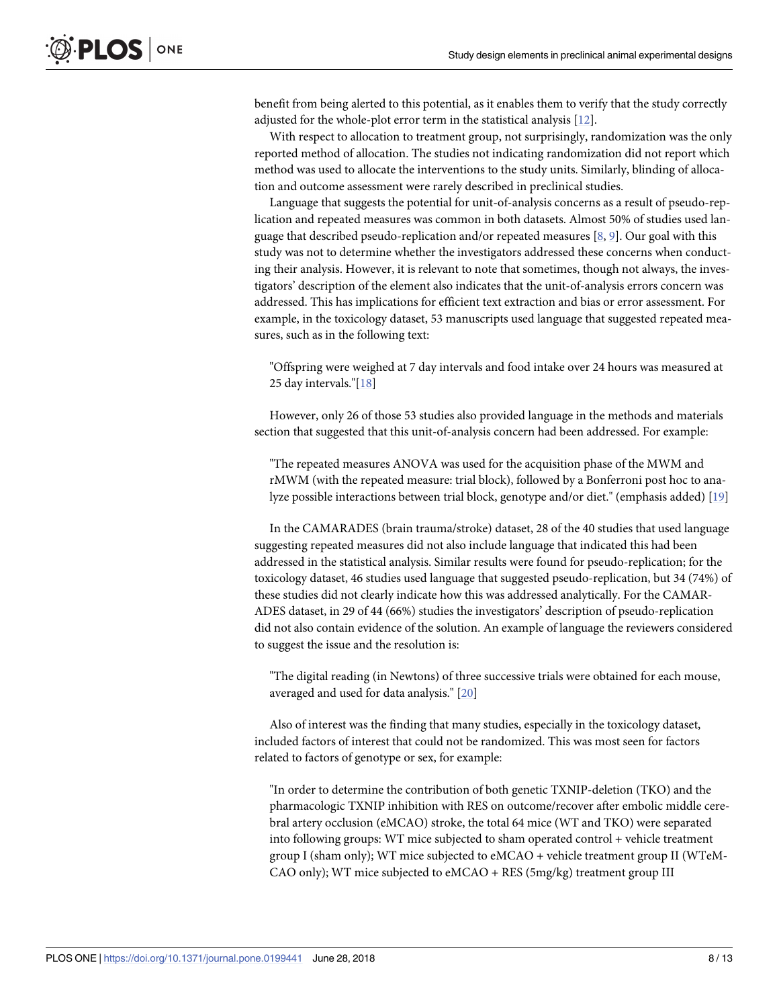<span id="page-7-0"></span>benefit from being alerted to this potential, as it enables them to verify that the study correctly adjusted for the whole-plot error term in the statistical analysis [\[12\]](#page-11-0).

With respect to allocation to treatment group, not surprisingly, randomization was the only reported method of allocation. The studies not indicating randomization did not report which method was used to allocate the interventions to the study units. Similarly, blinding of allocation and outcome assessment were rarely described in preclinical studies.

Language that suggests the potential for unit-of-analysis concerns as a result of pseudo-replication and repeated measures was common in both datasets. Almost 50% of studies used lan-guage that described pseudo-replication and/or repeated measures [[8](#page-11-0), [9\]](#page-11-0). Our goal with this study was not to determine whether the investigators addressed these concerns when conducting their analysis. However, it is relevant to note that sometimes, though not always, the investigators' description of the element also indicates that the unit-of-analysis errors concern was addressed. This has implications for efficient text extraction and bias or error assessment. For example, in the toxicology dataset, 53 manuscripts used language that suggested repeated measures, such as in the following text:

"Offspring were weighed at 7 day intervals and food intake over 24 hours was measured at 25 day intervals."[[18](#page-11-0)]

However, only 26 of those 53 studies also provided language in the methods and materials section that suggested that this unit-of-analysis concern had been addressed. For example:

"The repeated measures ANOVA was used for the acquisition phase of the MWM and rMWM (with the repeated measure: trial block), followed by a Bonferroni post hoc to analyze possible interactions between trial block, genotype and/or diet." (emphasis added) [\[19\]](#page-11-0)

In the CAMARADES (brain trauma/stroke) dataset, 28 of the 40 studies that used language suggesting repeated measures did not also include language that indicated this had been addressed in the statistical analysis. Similar results were found for pseudo-replication; for the toxicology dataset, 46 studies used language that suggested pseudo-replication, but 34 (74%) of these studies did not clearly indicate how this was addressed analytically. For the CAMAR-ADES dataset, in 29 of 44 (66%) studies the investigators' description of pseudo-replication did not also contain evidence of the solution. An example of language the reviewers considered to suggest the issue and the resolution is:

"The digital reading (in Newtons) of three successive trials were obtained for each mouse, averaged and used for data analysis." [[20](#page-11-0)]

Also of interest was the finding that many studies, especially in the toxicology dataset, included factors of interest that could not be randomized. This was most seen for factors related to factors of genotype or sex, for example:

"In order to determine the contribution of both genetic TXNIP-deletion (TKO) and the pharmacologic TXNIP inhibition with RES on outcome/recover after embolic middle cerebral artery occlusion (eMCAO) stroke, the total 64 mice (WT and TKO) were separated into following groups: WT mice subjected to sham operated control + vehicle treatment group I (sham only); WT mice subjected to eMCAO + vehicle treatment group II (WTeM-CAO only); WT mice subjected to eMCAO + RES (5mg/kg) treatment group III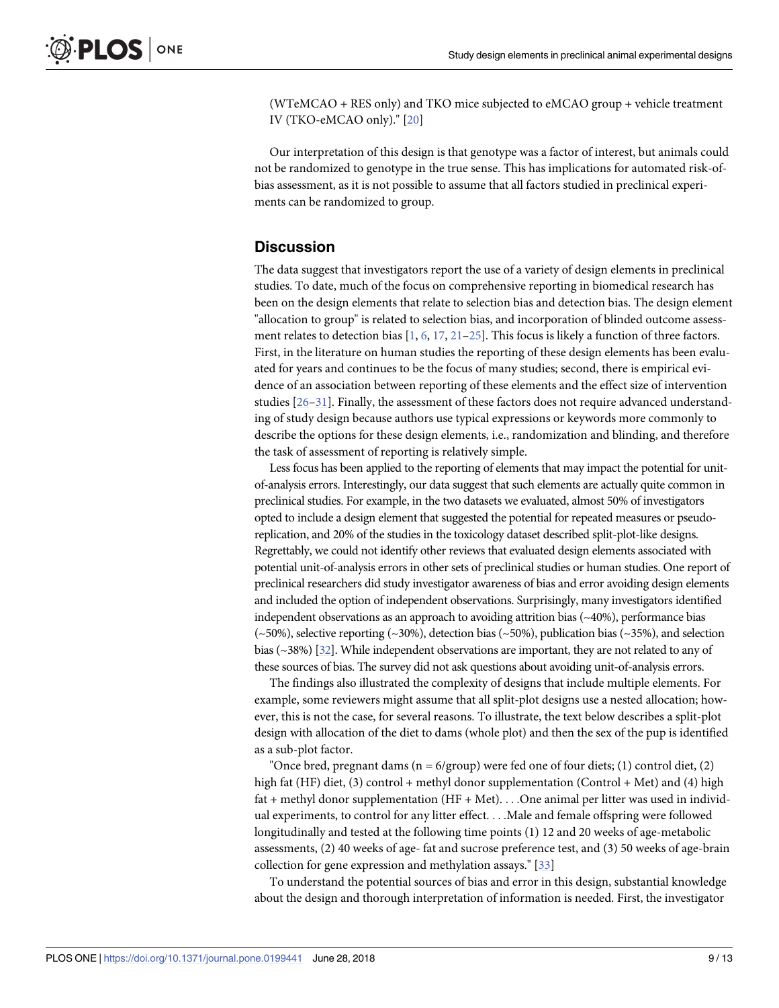<span id="page-8-0"></span>(WTeMCAO + RES only) and TKO mice subjected to eMCAO group + vehicle treatment IV (TKO-eMCAO only)." [\[20\]](#page-11-0)

Our interpretation of this design is that genotype was a factor of interest, but animals could not be randomized to genotype in the true sense. This has implications for automated risk-ofbias assessment, as it is not possible to assume that all factors studied in preclinical experiments can be randomized to group.

## **Discussion**

The data suggest that investigators report the use of a variety of design elements in preclinical studies. To date, much of the focus on comprehensive reporting in biomedical research has been on the design elements that relate to selection bias and detection bias. The design element "allocation to group" is related to selection bias, and incorporation of blinded outcome assessment relates to detection bias [[1,](#page-10-0) [6,](#page-11-0) [17,](#page-11-0) [21–](#page-11-0)[25](#page-12-0)]. This focus is likely a function of three factors. First, in the literature on human studies the reporting of these design elements has been evaluated for years and continues to be the focus of many studies; second, there is empirical evidence of an association between reporting of these elements and the effect size of intervention studies [\[26–31](#page-12-0)]. Finally, the assessment of these factors does not require advanced understanding of study design because authors use typical expressions or keywords more commonly to describe the options for these design elements, i.e., randomization and blinding, and therefore the task of assessment of reporting is relatively simple.

Less focus has been applied to the reporting of elements that may impact the potential for unitof-analysis errors. Interestingly, our data suggest that such elements are actually quite common in preclinical studies. For example, in the two datasets we evaluated, almost 50% of investigators opted to include a design element that suggested the potential for repeated measures or pseudoreplication, and 20% of the studies in the toxicology dataset described split-plot-like designs. Regrettably, we could not identify other reviews that evaluated design elements associated with potential unit-of-analysis errors in other sets of preclinical studies or human studies. One report of preclinical researchers did study investigator awareness of bias and error avoiding design elements and included the option of independent observations. Surprisingly, many investigators identified independent observations as an approach to avoiding attrition bias  $(\sim40\%)$ , performance bias (~50%), selective reporting (~30%), detection bias (~50%), publication bias (~35%), and selection bias (~38%) [\[32](#page-12-0)]. While independent observations are important, they are not related to any of these sources of bias. The survey did not ask questions about avoiding unit-of-analysis errors.

The findings also illustrated the complexity of designs that include multiple elements. For example, some reviewers might assume that all split-plot designs use a nested allocation; however, this is not the case, for several reasons. To illustrate, the text below describes a split-plot design with allocation of the diet to dams (whole plot) and then the sex of the pup is identified as a sub-plot factor.

"Once bred, pregnant dams  $(n = 6/$ group) were fed one of four diets; (1) control diet, (2) high fat (HF) diet, (3) control + methyl donor supplementation (Control + Met) and (4) high fat + methyl donor supplementation  $(HF + Met)$ ... One animal per litter was used in individual experiments, to control for any litter effect. . . .Male and female offspring were followed longitudinally and tested at the following time points (1) 12 and 20 weeks of age-metabolic assessments, (2) 40 weeks of age- fat and sucrose preference test, and (3) 50 weeks of age-brain collection for gene expression and methylation assays." [\[33\]](#page-12-0)

To understand the potential sources of bias and error in this design, substantial knowledge about the design and thorough interpretation of information is needed. First, the investigator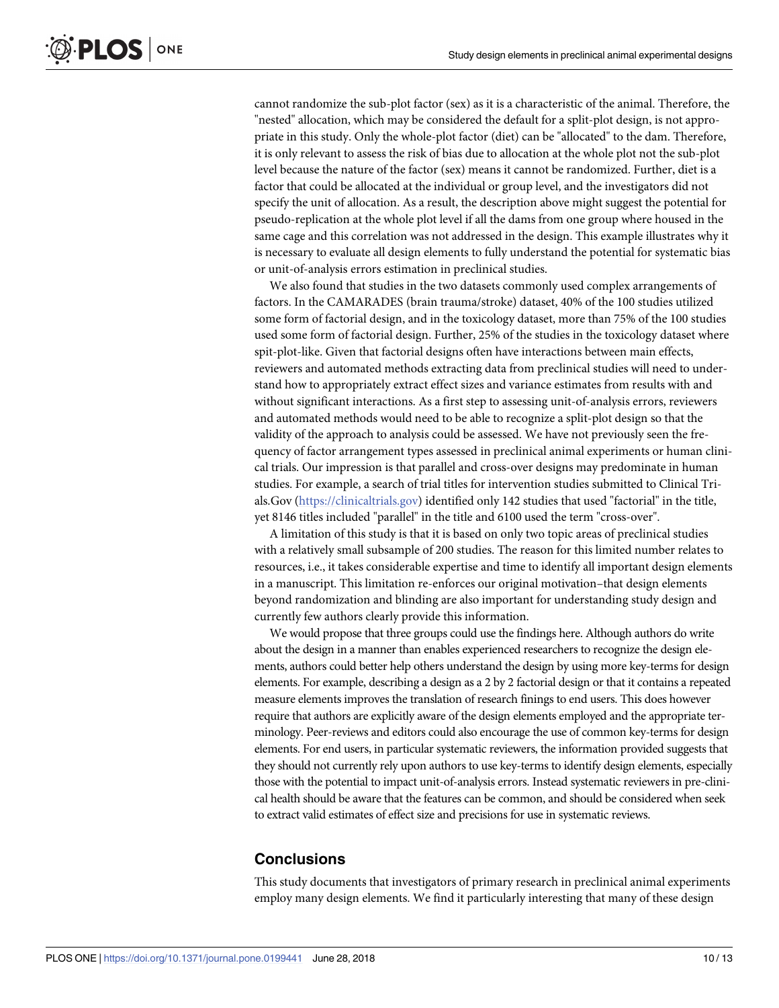cannot randomize the sub-plot factor (sex) as it is a characteristic of the animal. Therefore, the "nested" allocation, which may be considered the default for a split-plot design, is not appropriate in this study. Only the whole-plot factor (diet) can be "allocated" to the dam. Therefore, it is only relevant to assess the risk of bias due to allocation at the whole plot not the sub-plot level because the nature of the factor (sex) means it cannot be randomized. Further, diet is a factor that could be allocated at the individual or group level, and the investigators did not specify the unit of allocation. As a result, the description above might suggest the potential for pseudo-replication at the whole plot level if all the dams from one group where housed in the same cage and this correlation was not addressed in the design. This example illustrates why it is necessary to evaluate all design elements to fully understand the potential for systematic bias or unit-of-analysis errors estimation in preclinical studies.

We also found that studies in the two datasets commonly used complex arrangements of factors. In the CAMARADES (brain trauma/stroke) dataset, 40% of the 100 studies utilized some form of factorial design, and in the toxicology dataset, more than 75% of the 100 studies used some form of factorial design. Further, 25% of the studies in the toxicology dataset where spit-plot-like. Given that factorial designs often have interactions between main effects, reviewers and automated methods extracting data from preclinical studies will need to understand how to appropriately extract effect sizes and variance estimates from results with and without significant interactions. As a first step to assessing unit-of-analysis errors, reviewers and automated methods would need to be able to recognize a split-plot design so that the validity of the approach to analysis could be assessed. We have not previously seen the frequency of factor arrangement types assessed in preclinical animal experiments or human clinical trials. Our impression is that parallel and cross-over designs may predominate in human studies. For example, a search of trial titles for intervention studies submitted to Clinical Trials.Gov [\(https://clinicaltrials.gov\)](https://clinicaltrials.gov/) identified only 142 studies that used "factorial" in the title, yet 8146 titles included "parallel" in the title and 6100 used the term "cross-over".

A limitation of this study is that it is based on only two topic areas of preclinical studies with a relatively small subsample of 200 studies. The reason for this limited number relates to resources, i.e., it takes considerable expertise and time to identify all important design elements in a manuscript. This limitation re-enforces our original motivation–that design elements beyond randomization and blinding are also important for understanding study design and currently few authors clearly provide this information.

We would propose that three groups could use the findings here. Although authors do write about the design in a manner than enables experienced researchers to recognize the design elements, authors could better help others understand the design by using more key-terms for design elements. For example, describing a design as a 2 by 2 factorial design or that it contains a repeated measure elements improves the translation of research finings to end users. This does however require that authors are explicitly aware of the design elements employed and the appropriate terminology. Peer-reviews and editors could also encourage the use of common key-terms for design elements. For end users, in particular systematic reviewers, the information provided suggests that they should not currently rely upon authors to use key-terms to identify design elements, especially those with the potential to impact unit-of-analysis errors. Instead systematic reviewers in pre-clinical health should be aware that the features can be common, and should be considered when seek to extract valid estimates of effect size and precisions for use in systematic reviews.

## **Conclusions**

This study documents that investigators of primary research in preclinical animal experiments employ many design elements. We find it particularly interesting that many of these design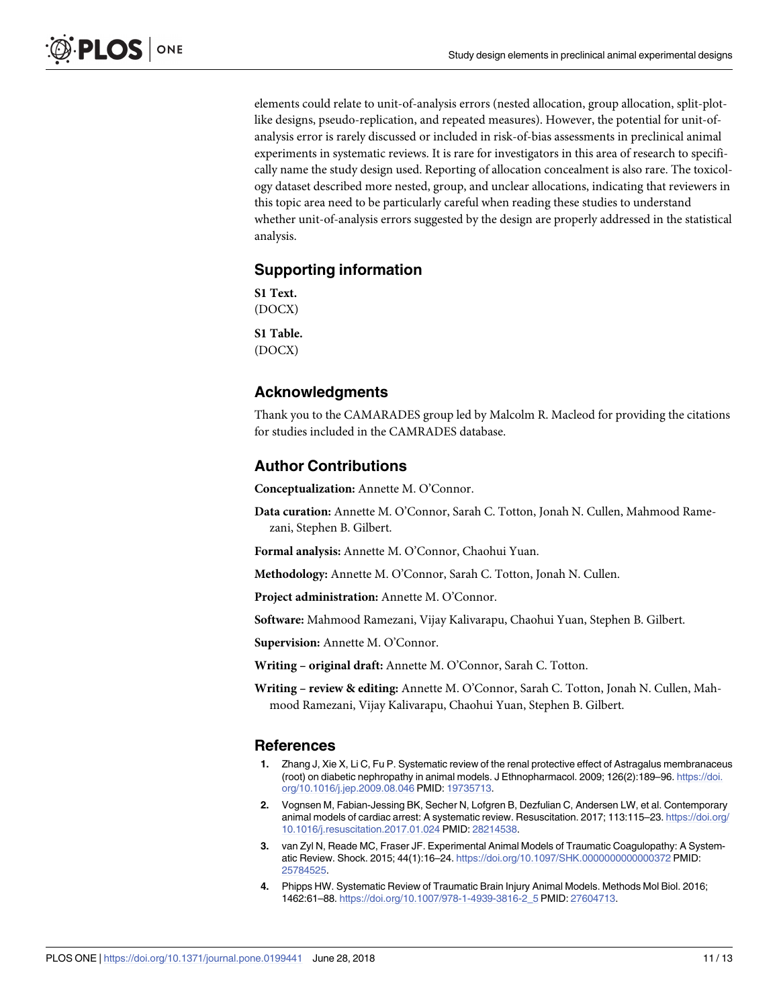<span id="page-10-0"></span>elements could relate to unit-of-analysis errors (nested allocation, group allocation, split-plotlike designs, pseudo-replication, and repeated measures). However, the potential for unit-ofanalysis error is rarely discussed or included in risk-of-bias assessments in preclinical animal experiments in systematic reviews. It is rare for investigators in this area of research to specifically name the study design used. Reporting of allocation concealment is also rare. The toxicology dataset described more nested, group, and unclear allocations, indicating that reviewers in this topic area need to be particularly careful when reading these studies to understand whether unit-of-analysis errors suggested by the design are properly addressed in the statistical analysis.

## **Supporting information**

**S1 [Text](http://www.plosone.org/article/fetchSingleRepresentation.action?uri=info:doi/10.1371/journal.pone.0199441.s001).** (DOCX) **S1 [Table.](http://www.plosone.org/article/fetchSingleRepresentation.action?uri=info:doi/10.1371/journal.pone.0199441.s002)**

(DOCX)

## **Acknowledgments**

Thank you to the CAMARADES group led by Malcolm R. Macleod for providing the citations for studies included in the CAMRADES database.

## **Author Contributions**

**Conceptualization:** Annette M. O'Connor.

**Data curation:** Annette M. O'Connor, Sarah C. Totton, Jonah N. Cullen, Mahmood Ramezani, Stephen B. Gilbert.

**Formal analysis:** Annette M. O'Connor, Chaohui Yuan.

**Methodology:** Annette M. O'Connor, Sarah C. Totton, Jonah N. Cullen.

**Project administration:** Annette M. O'Connor.

**Software:** Mahmood Ramezani, Vijay Kalivarapu, Chaohui Yuan, Stephen B. Gilbert.

**Supervision:** Annette M. O'Connor.

**Writing – original draft:** Annette M. O'Connor, Sarah C. Totton.

**Writing – review & editing:** Annette M. O'Connor, Sarah C. Totton, Jonah N. Cullen, Mahmood Ramezani, Vijay Kalivarapu, Chaohui Yuan, Stephen B. Gilbert.

## **References**

- **[1](#page-1-0).** Zhang J, Xie X, Li C, Fu P. Systematic review of the renal protective effect of Astragalus membranaceus (root) on diabetic nephropathy in animal models. J Ethnopharmacol. 2009; 126(2):189–96. [https://doi.](https://doi.org/10.1016/j.jep.2009.08.046) [org/10.1016/j.jep.2009.08.046](https://doi.org/10.1016/j.jep.2009.08.046) PMID: [19735713](http://www.ncbi.nlm.nih.gov/pubmed/19735713).
- **2.** Vognsen M, Fabian-Jessing BK, Secher N, Lofgren B, Dezfulian C, Andersen LW, et al. Contemporary animal models of cardiac arrest: A systematic review. Resuscitation. 2017; 113:115–23. [https://doi.org/](https://doi.org/10.1016/j.resuscitation.2017.01.024) [10.1016/j.resuscitation.2017.01.024](https://doi.org/10.1016/j.resuscitation.2017.01.024) PMID: [28214538](http://www.ncbi.nlm.nih.gov/pubmed/28214538).
- **3.** van Zyl N, Reade MC, Fraser JF. Experimental Animal Models of Traumatic Coagulopathy: A Systematic Review. Shock. 2015; 44(1):16–24. <https://doi.org/10.1097/SHK.0000000000000372> PMID: [25784525](http://www.ncbi.nlm.nih.gov/pubmed/25784525).
- **4.** Phipps HW. Systematic Review of Traumatic Brain Injury Animal Models. Methods Mol Biol. 2016; 1462:61–88. [https://doi.org/10.1007/978-1-4939-3816-2\\_5](https://doi.org/10.1007/978-1-4939-3816-2_5) PMID: [27604713.](http://www.ncbi.nlm.nih.gov/pubmed/27604713)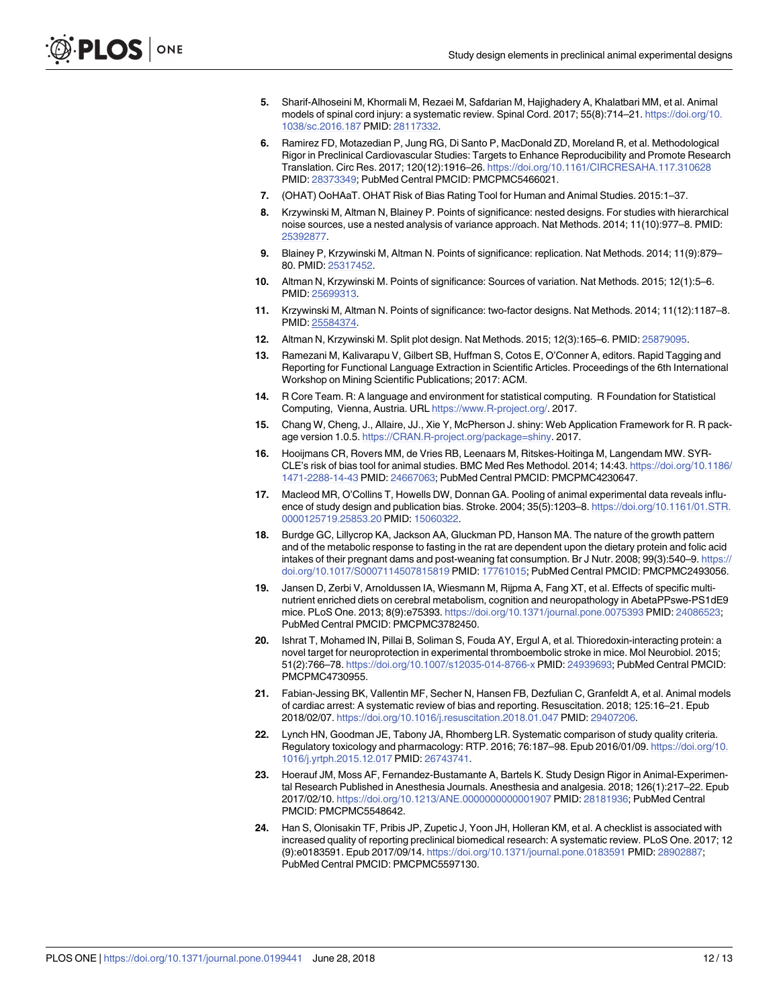- <span id="page-11-0"></span>**[5](#page-1-0).** Sharif-Alhoseini M, Khormali M, Rezaei M, Safdarian M, Hajighadery A, Khalatbari MM, et al. Animal models of spinal cord injury: a systematic review. Spinal Cord. 2017; 55(8):714–21. [https://doi.org/10.](https://doi.org/10.1038/sc.2016.187) [1038/sc.2016.187](https://doi.org/10.1038/sc.2016.187) PMID: [28117332](http://www.ncbi.nlm.nih.gov/pubmed/28117332).
- **[6](#page-1-0).** Ramirez FD, Motazedian P, Jung RG, Di Santo P, MacDonald ZD, Moreland R, et al. Methodological Rigor in Preclinical Cardiovascular Studies: Targets to Enhance Reproducibility and Promote Research Translation. Circ Res. 2017; 120(12):1916–26. <https://doi.org/10.1161/CIRCRESAHA.117.310628> PMID: [28373349](http://www.ncbi.nlm.nih.gov/pubmed/28373349); PubMed Central PMCID: PMCPMC5466021.
- **[7](#page-1-0).** (OHAT) OoHAaT. OHAT Risk of Bias Rating Tool for Human and Animal Studies. 2015:1–37.
- **[8](#page-1-0).** Krzywinski M, Altman N, Blainey P. Points of significance: nested designs. For studies with hierarchical noise sources, use a nested analysis of variance approach. Nat Methods. 2014; 11(10):977–8. PMID: [25392877](http://www.ncbi.nlm.nih.gov/pubmed/25392877).
- **[9](#page-3-0).** Blainey P, Krzywinski M, Altman N. Points of significance: replication. Nat Methods. 2014; 11(9):879– 80. PMID: [25317452.](http://www.ncbi.nlm.nih.gov/pubmed/25317452)
- **10.** Altman N, Krzywinski M. Points of significance: Sources of variation. Nat Methods. 2015; 12(1):5–6. PMID: [25699313](http://www.ncbi.nlm.nih.gov/pubmed/25699313).
- **[11](#page-4-0).** Krzywinski M, Altman N. Points of significance: two-factor designs. Nat Methods. 2014; 11(12):1187–8. PMID: [25584374](http://www.ncbi.nlm.nih.gov/pubmed/25584374).
- **[12](#page-1-0).** Altman N, Krzywinski M. Split plot design. Nat Methods. 2015; 12(3):165–6. PMID: [25879095](http://www.ncbi.nlm.nih.gov/pubmed/25879095).
- **[13](#page-2-0).** Ramezani M, Kalivarapu V, Gilbert SB, Huffman S, Cotos E, O'Conner A, editors. Rapid Tagging and Reporting for Functional Language Extraction in Scientific Articles. Proceedings of the 6th International Workshop on Mining Scientific Publications; 2017: ACM.
- **[14](#page-2-0).** R Core Team. R: A language and environment for statistical computing. R Foundation for Statistical Computing, Vienna, Austria. URL <https://www.R-project.org/>. 2017.
- **[15](#page-2-0).** Chang W, Cheng, J., Allaire, JJ., Xie Y, McPherson J. shiny: Web Application Framework for R. R package version 1.0.5. <https://CRAN.R-project.org/package=shiny>. 2017.
- **[16](#page-3-0).** Hooijmans CR, Rovers MM, de Vries RB, Leenaars M, Ritskes-Hoitinga M, Langendam MW. SYR-CLE's risk of bias tool for animal studies. BMC Med Res Methodol. 2014; 14:43. [https://doi.org/10.1186/](https://doi.org/10.1186/1471-2288-14-43) [1471-2288-14-43](https://doi.org/10.1186/1471-2288-14-43) PMID: [24667063](http://www.ncbi.nlm.nih.gov/pubmed/24667063); PubMed Central PMCID: PMCPMC4230647.
- **[17](#page-3-0).** Macleod MR, O'Collins T, Howells DW, Donnan GA. Pooling of animal experimental data reveals influence of study design and publication bias. Stroke. 2004; 35(5):1203–8. [https://doi.org/10.1161/01.STR.](https://doi.org/10.1161/01.STR.0000125719.25853.20) [0000125719.25853.20](https://doi.org/10.1161/01.STR.0000125719.25853.20) PMID: [15060322](http://www.ncbi.nlm.nih.gov/pubmed/15060322).
- **[18](#page-7-0).** Burdge GC, Lillycrop KA, Jackson AA, Gluckman PD, Hanson MA. The nature of the growth pattern and of the metabolic response to fasting in the rat are dependent upon the dietary protein and folic acid intakes of their pregnant dams and post-weaning fat consumption. Br J Nutr. 2008; 99(3):540–9. [https://](https://doi.org/10.1017/S0007114507815819) [doi.org/10.1017/S0007114507815819](https://doi.org/10.1017/S0007114507815819) PMID: [17761015;](http://www.ncbi.nlm.nih.gov/pubmed/17761015) PubMed Central PMCID: PMCPMC2493056.
- **[19](#page-7-0).** Jansen D, Zerbi V, Arnoldussen IA, Wiesmann M, Rijpma A, Fang XT, et al. Effects of specific multinutrient enriched diets on cerebral metabolism, cognition and neuropathology in AbetaPPswe-PS1dE9 mice. PLoS One. 2013; 8(9):e75393. <https://doi.org/10.1371/journal.pone.0075393> PMID: [24086523](http://www.ncbi.nlm.nih.gov/pubmed/24086523); PubMed Central PMCID: PMCPMC3782450.
- **[20](#page-7-0).** Ishrat T, Mohamed IN, Pillai B, Soliman S, Fouda AY, Ergul A, et al. Thioredoxin-interacting protein: a novel target for neuroprotection in experimental thromboembolic stroke in mice. Mol Neurobiol. 2015; 51(2):766–78. <https://doi.org/10.1007/s12035-014-8766-x> PMID: [24939693](http://www.ncbi.nlm.nih.gov/pubmed/24939693); PubMed Central PMCID: PMCPMC4730955.
- **[21](#page-8-0).** Fabian-Jessing BK, Vallentin MF, Secher N, Hansen FB, Dezfulian C, Granfeldt A, et al. Animal models of cardiac arrest: A systematic review of bias and reporting. Resuscitation. 2018; 125:16–21. Epub 2018/02/07. <https://doi.org/10.1016/j.resuscitation.2018.01.047> PMID: [29407206](http://www.ncbi.nlm.nih.gov/pubmed/29407206).
- **22.** Lynch HN, Goodman JE, Tabony JA, Rhomberg LR. Systematic comparison of study quality criteria. Regulatory toxicology and pharmacology: RTP. 2016; 76:187–98. Epub 2016/01/09. [https://doi.org/10.](https://doi.org/10.1016/j.yrtph.2015.12.017) [1016/j.yrtph.2015.12.017](https://doi.org/10.1016/j.yrtph.2015.12.017) PMID: [26743741.](http://www.ncbi.nlm.nih.gov/pubmed/26743741)
- **23.** Hoerauf JM, Moss AF, Fernandez-Bustamante A, Bartels K. Study Design Rigor in Animal-Experimental Research Published in Anesthesia Journals. Anesthesia and analgesia. 2018; 126(1):217–22. Epub 2017/02/10. <https://doi.org/10.1213/ANE.0000000000001907> PMID: [28181936;](http://www.ncbi.nlm.nih.gov/pubmed/28181936) PubMed Central PMCID: PMCPMC5548642.
- **24.** Han S, Olonisakin TF, Pribis JP, Zupetic J, Yoon JH, Holleran KM, et al. A checklist is associated with increased quality of reporting preclinical biomedical research: A systematic review. PLoS One. 2017; 12 (9):e0183591. Epub 2017/09/14. <https://doi.org/10.1371/journal.pone.0183591> PMID: [28902887](http://www.ncbi.nlm.nih.gov/pubmed/28902887); PubMed Central PMCID: PMCPMC5597130.